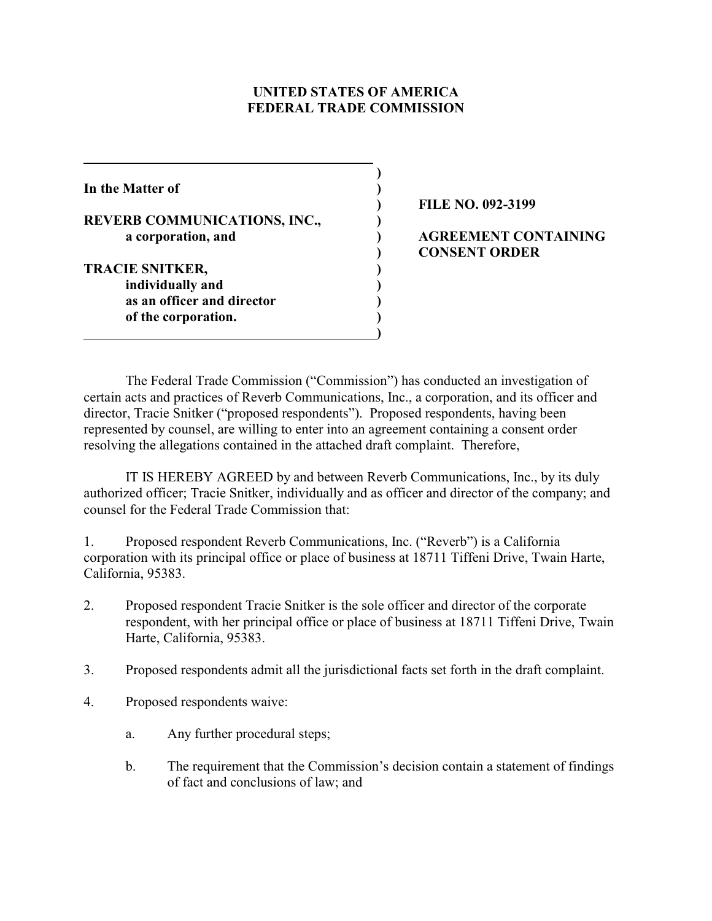#### **UNITED STATES OF AMERICA FEDERAL TRADE COMMISSION**

**)**

**In the Matter of ) REVERB COMMUNICATIONS, INC., ) a corporation, and ) AGREEMENT CONTAINING TRACIE SNITKER, ) individually and ) as an officer and director ) of the corporation. ) )**

**) FILE NO. 092-3199**

# **) CONSENT ORDER**

The Federal Trade Commission ("Commission") has conducted an investigation of certain acts and practices of Reverb Communications, Inc., a corporation, and its officer and director, Tracie Snitker ("proposed respondents"). Proposed respondents, having been represented by counsel, are willing to enter into an agreement containing a consent order resolving the allegations contained in the attached draft complaint. Therefore,

IT IS HEREBY AGREED by and between Reverb Communications, Inc., by its duly authorized officer; Tracie Snitker, individually and as officer and director of the company; and counsel for the Federal Trade Commission that:

1. Proposed respondent Reverb Communications, Inc. ("Reverb") is a California corporation with its principal office or place of business at 18711 Tiffeni Drive, Twain Harte, California, 95383.

- 2. Proposed respondent Tracie Snitker is the sole officer and director of the corporate respondent, with her principal office or place of business at 18711 Tiffeni Drive, Twain Harte, California, 95383.
- 3. Proposed respondents admit all the jurisdictional facts set forth in the draft complaint.
- 4. Proposed respondents waive:
	- a. Any further procedural steps;
	- b. The requirement that the Commission's decision contain a statement of findings of fact and conclusions of law; and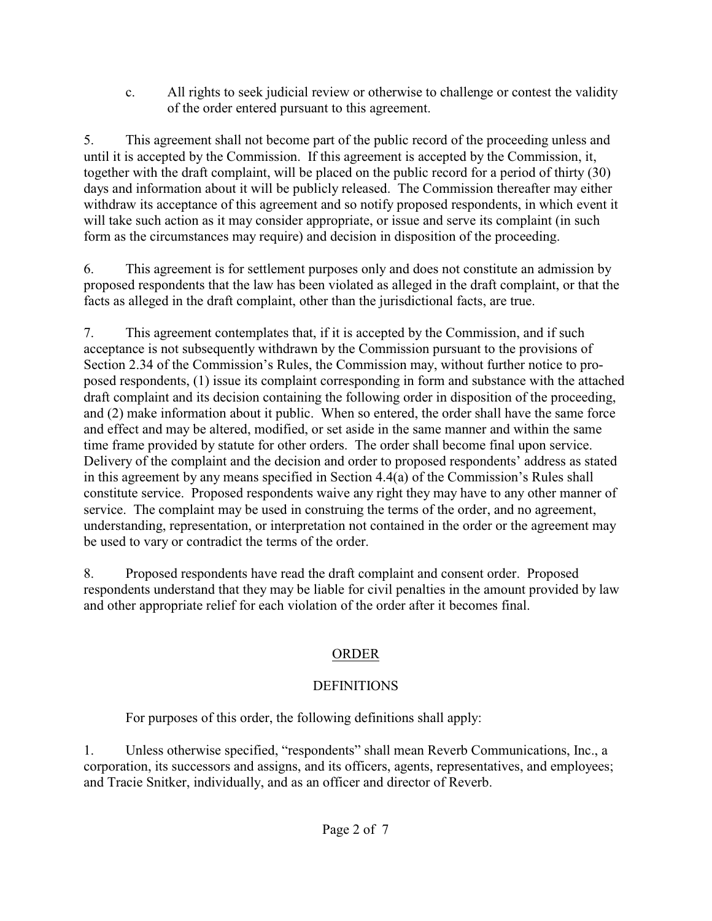c. All rights to seek judicial review or otherwise to challenge or contest the validity of the order entered pursuant to this agreement.

5. This agreement shall not become part of the public record of the proceeding unless and until it is accepted by the Commission. If this agreement is accepted by the Commission, it, together with the draft complaint, will be placed on the public record for a period of thirty (30) days and information about it will be publicly released. The Commission thereafter may either withdraw its acceptance of this agreement and so notify proposed respondents, in which event it will take such action as it may consider appropriate, or issue and serve its complaint (in such form as the circumstances may require) and decision in disposition of the proceeding.

6. This agreement is for settlement purposes only and does not constitute an admission by proposed respondents that the law has been violated as alleged in the draft complaint, or that the facts as alleged in the draft complaint, other than the jurisdictional facts, are true.

7. This agreement contemplates that, if it is accepted by the Commission, and if such acceptance is not subsequently withdrawn by the Commission pursuant to the provisions of Section 2.34 of the Commission's Rules, the Commission may, without further notice to proposed respondents, (1) issue its complaint corresponding in form and substance with the attached draft complaint and its decision containing the following order in disposition of the proceeding, and (2) make information about it public. When so entered, the order shall have the same force and effect and may be altered, modified, or set aside in the same manner and within the same time frame provided by statute for other orders. The order shall become final upon service. Delivery of the complaint and the decision and order to proposed respondents' address as stated in this agreement by any means specified in Section 4.4(a) of the Commission's Rules shall constitute service. Proposed respondents waive any right they may have to any other manner of service. The complaint may be used in construing the terms of the order, and no agreement, understanding, representation, or interpretation not contained in the order or the agreement may be used to vary or contradict the terms of the order.

8. Proposed respondents have read the draft complaint and consent order. Proposed respondents understand that they may be liable for civil penalties in the amount provided by law and other appropriate relief for each violation of the order after it becomes final.

## ORDER

# **DEFINITIONS**

For purposes of this order, the following definitions shall apply:

1. Unless otherwise specified, "respondents" shall mean Reverb Communications, Inc., a corporation, its successors and assigns, and its officers, agents, representatives, and employees; and Tracie Snitker, individually, and as an officer and director of Reverb.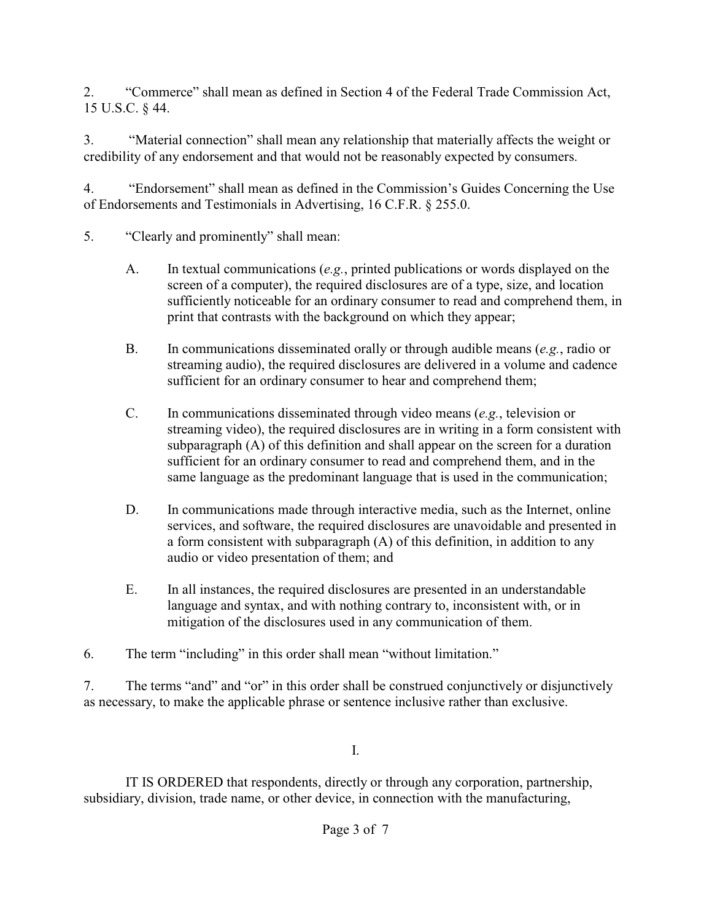2. "Commerce" shall mean as defined in Section 4 of the Federal Trade Commission Act, 15 U.S.C. § 44.

3. "Material connection" shall mean any relationship that materially affects the weight or credibility of any endorsement and that would not be reasonably expected by consumers.

4. "Endorsement" shall mean as defined in the Commission's Guides Concerning the Use of Endorsements and Testimonials in Advertising, 16 C.F.R. § 255.0.

- 5. "Clearly and prominently" shall mean:
	- A. In textual communications (*e.g.*, printed publications or words displayed on the screen of a computer), the required disclosures are of a type, size, and location sufficiently noticeable for an ordinary consumer to read and comprehend them, in print that contrasts with the background on which they appear;
	- B. In communications disseminated orally or through audible means (*e.g.*, radio or streaming audio), the required disclosures are delivered in a volume and cadence sufficient for an ordinary consumer to hear and comprehend them;
	- C. In communications disseminated through video means (*e.g.*, television or streaming video), the required disclosures are in writing in a form consistent with subparagraph (A) of this definition and shall appear on the screen for a duration sufficient for an ordinary consumer to read and comprehend them, and in the same language as the predominant language that is used in the communication;
	- D. In communications made through interactive media, such as the Internet, online services, and software, the required disclosures are unavoidable and presented in a form consistent with subparagraph (A) of this definition, in addition to any audio or video presentation of them; and
	- E. In all instances, the required disclosures are presented in an understandable language and syntax, and with nothing contrary to, inconsistent with, or in mitigation of the disclosures used in any communication of them.
- 6. The term "including" in this order shall mean "without limitation."

7. The terms "and" and "or" in this order shall be construed conjunctively or disjunctively as necessary, to make the applicable phrase or sentence inclusive rather than exclusive.

I.

IT IS ORDERED that respondents, directly or through any corporation, partnership, subsidiary, division, trade name, or other device, in connection with the manufacturing,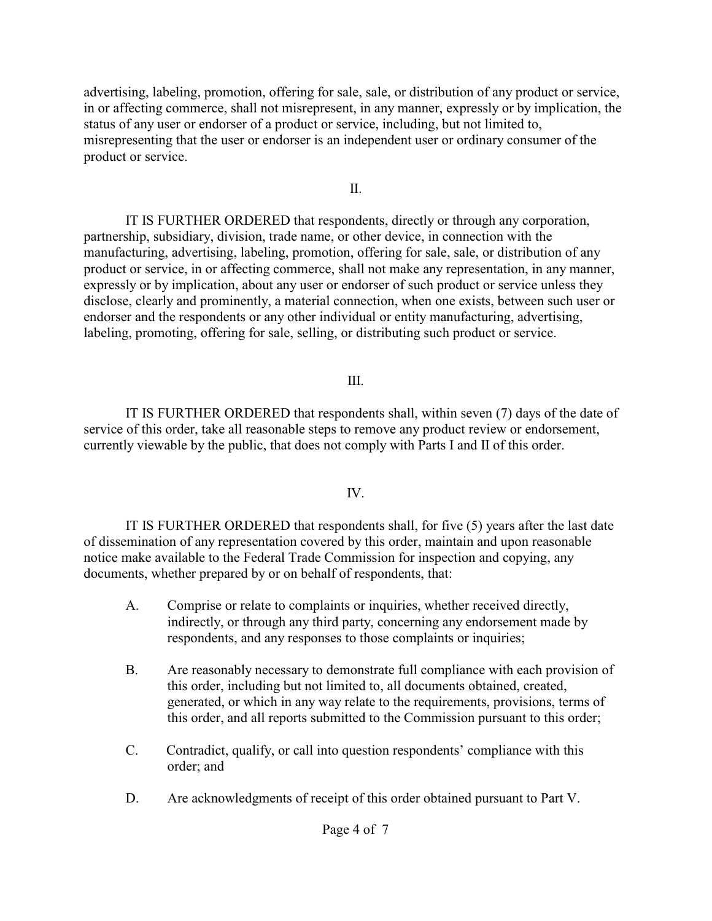advertising, labeling, promotion, offering for sale, sale, or distribution of any product or service, in or affecting commerce, shall not misrepresent, in any manner, expressly or by implication, the status of any user or endorser of a product or service, including, but not limited to, misrepresenting that the user or endorser is an independent user or ordinary consumer of the product or service.

II.

IT IS FURTHER ORDERED that respondents, directly or through any corporation, partnership, subsidiary, division, trade name, or other device, in connection with the manufacturing, advertising, labeling, promotion, offering for sale, sale, or distribution of any product or service, in or affecting commerce, shall not make any representation, in any manner, expressly or by implication, about any user or endorser of such product or service unless they disclose, clearly and prominently, a material connection, when one exists, between such user or endorser and the respondents or any other individual or entity manufacturing, advertising, labeling, promoting, offering for sale, selling, or distributing such product or service.

## III.

IT IS FURTHER ORDERED that respondents shall, within seven (7) days of the date of service of this order, take all reasonable steps to remove any product review or endorsement, currently viewable by the public, that does not comply with Parts I and II of this order.

## IV.

IT IS FURTHER ORDERED that respondents shall, for five (5) years after the last date of dissemination of any representation covered by this order, maintain and upon reasonable notice make available to the Federal Trade Commission for inspection and copying, any documents, whether prepared by or on behalf of respondents, that:

- A. Comprise or relate to complaints or inquiries, whether received directly, indirectly, or through any third party, concerning any endorsement made by respondents, and any responses to those complaints or inquiries;
- B. Are reasonably necessary to demonstrate full compliance with each provision of this order, including but not limited to, all documents obtained, created, generated, or which in any way relate to the requirements, provisions, terms of this order, and all reports submitted to the Commission pursuant to this order;
- C. Contradict, qualify, or call into question respondents' compliance with this order; and
- D. Are acknowledgments of receipt of this order obtained pursuant to Part V.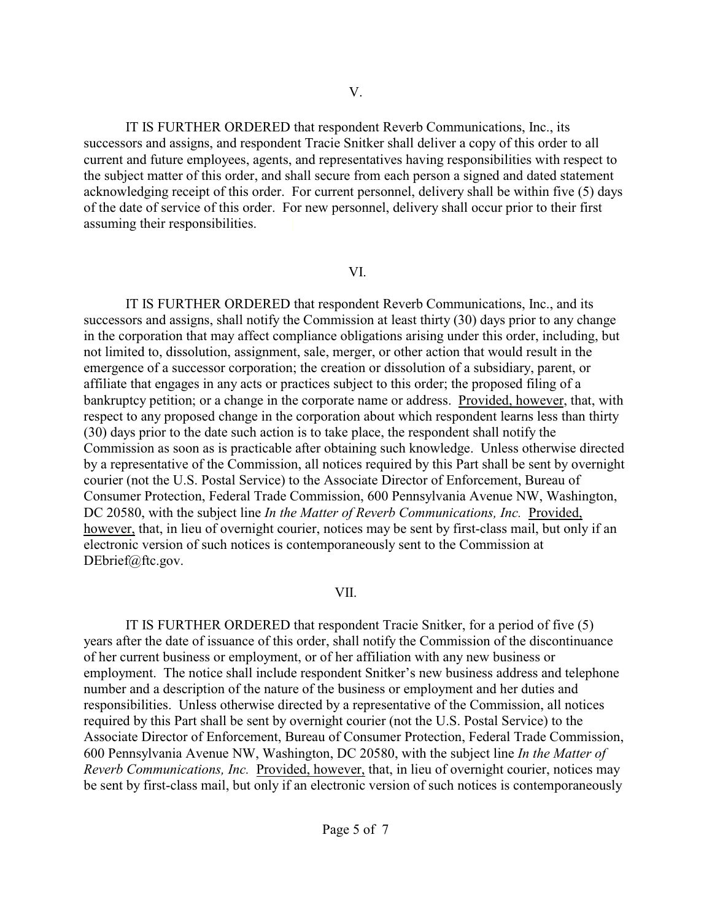IT IS FURTHER ORDERED that respondent Reverb Communications, Inc., its successors and assigns, and respondent Tracie Snitker shall deliver a copy of this order to all current and future employees, agents, and representatives having responsibilities with respect to the subject matter of this order, and shall secure from each person a signed and dated statement acknowledging receipt of this order. For current personnel, delivery shall be within five (5) days of the date of service of this order. For new personnel, delivery shall occur prior to their first assuming their responsibilities.

#### VI.

IT IS FURTHER ORDERED that respondent Reverb Communications, Inc., and its successors and assigns, shall notify the Commission at least thirty (30) days prior to any change in the corporation that may affect compliance obligations arising under this order, including, but not limited to, dissolution, assignment, sale, merger, or other action that would result in the emergence of a successor corporation; the creation or dissolution of a subsidiary, parent, or affiliate that engages in any acts or practices subject to this order; the proposed filing of a bankruptcy petition; or a change in the corporate name or address. Provided, however, that, with respect to any proposed change in the corporation about which respondent learns less than thirty (30) days prior to the date such action is to take place, the respondent shall notify the Commission as soon as is practicable after obtaining such knowledge. Unless otherwise directed by a representative of the Commission, all notices required by this Part shall be sent by overnight courier (not the U.S. Postal Service) to the Associate Director of Enforcement, Bureau of Consumer Protection, Federal Trade Commission, 600 Pennsylvania Avenue NW, Washington, DC 20580, with the subject line *In the Matter of Reverb Communications, Inc.* Provided, however, that, in lieu of overnight courier, notices may be sent by first-class mail, but only if an electronic version of such notices is contemporaneously sent to the Commission at DEbrief@ftc.gov.

#### VII.

 IT IS FURTHER ORDERED that respondent Tracie Snitker, for a period of five (5) years after the date of issuance of this order, shall notify the Commission of the discontinuance of her current business or employment, or of her affiliation with any new business or employment. The notice shall include respondent Snitker's new business address and telephone number and a description of the nature of the business or employment and her duties and responsibilities. Unless otherwise directed by a representative of the Commission, all notices required by this Part shall be sent by overnight courier (not the U.S. Postal Service) to the Associate Director of Enforcement, Bureau of Consumer Protection, Federal Trade Commission, 600 Pennsylvania Avenue NW, Washington, DC 20580, with the subject line *In the Matter of Reverb Communications, Inc.* Provided, however, that, in lieu of overnight courier, notices may be sent by first-class mail, but only if an electronic version of such notices is contemporaneously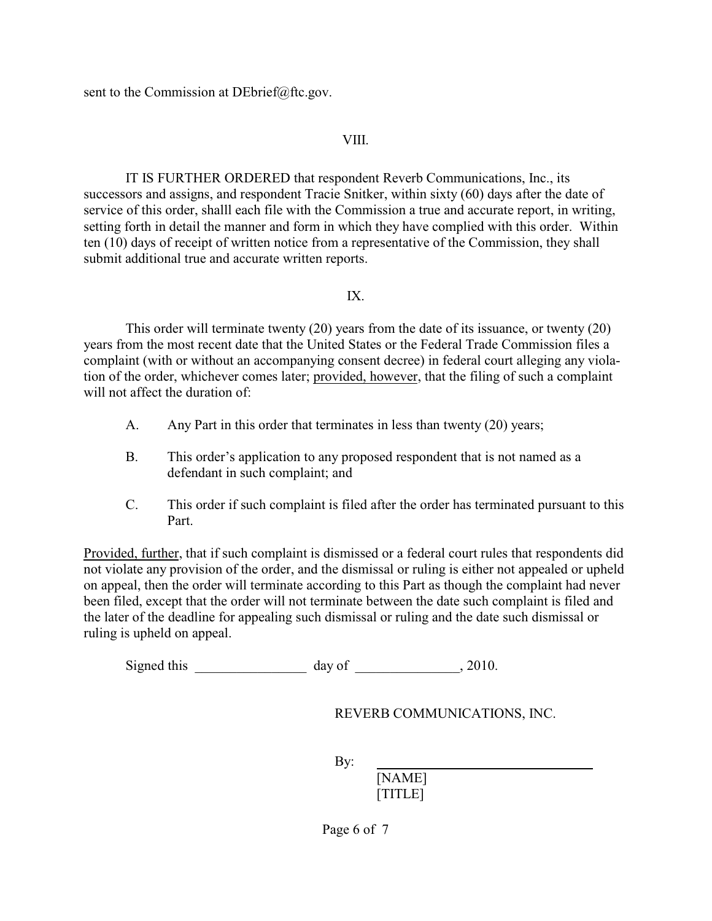sent to the Commission at DEbrief@ftc.gov.

#### VIII.

IT IS FURTHER ORDERED that respondent Reverb Communications, Inc., its successors and assigns, and respondent Tracie Snitker, within sixty (60) days after the date of service of this order, shalll each file with the Commission a true and accurate report, in writing, setting forth in detail the manner and form in which they have complied with this order. Within ten (10) days of receipt of written notice from a representative of the Commission, they shall submit additional true and accurate written reports.

#### IX.

This order will terminate twenty (20) years from the date of its issuance, or twenty (20) years from the most recent date that the United States or the Federal Trade Commission files a complaint (with or without an accompanying consent decree) in federal court alleging any violation of the order, whichever comes later; provided, however, that the filing of such a complaint will not affect the duration of

- A. Any Part in this order that terminates in less than twenty (20) years;
- B. This order's application to any proposed respondent that is not named as a defendant in such complaint; and
- C. This order if such complaint is filed after the order has terminated pursuant to this Part.

Provided, further, that if such complaint is dismissed or a federal court rules that respondents did not violate any provision of the order, and the dismissal or ruling is either not appealed or upheld on appeal, then the order will terminate according to this Part as though the complaint had never been filed, except that the order will not terminate between the date such complaint is filed and the later of the deadline for appealing such dismissal or ruling and the date such dismissal or ruling is upheld on appeal.

Signed this day of  $\frac{1}{2010}$ , 2010.

REVERB COMMUNICATIONS, INC.

By:

[NAME] [TITLE]

Page 6 of 7